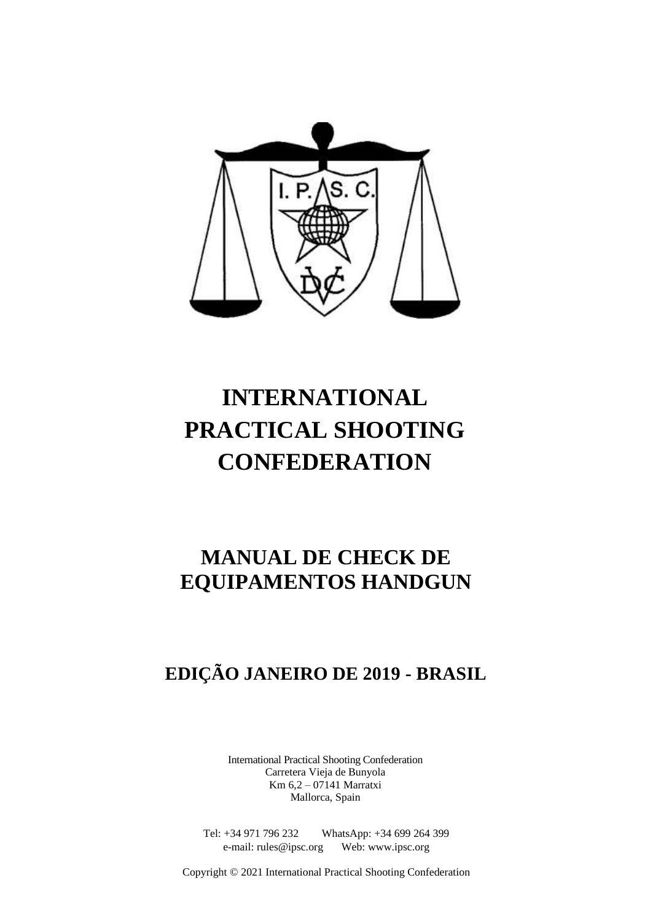

# **INTERNATIONAL PRACTICAL SHOOTING CONFEDERATION**

## **MANUAL DE CHECK DE EQUIPAMENTOS HANDGUN**

## **EDIÇÃO JANEIRO DE 2019 - BRASIL**

International Practical Shooting Confederation Carretera Vieja de Bunyola Km 6,2 – 07141 Marratxi Mallorca, Spain

Tel: +34 971 796 232 WhatsApp: +34 699 264 399 e-mail: rules@ipsc.org Web: www.ipsc.org

Copyright © 2021 International Practical Shooting Confederation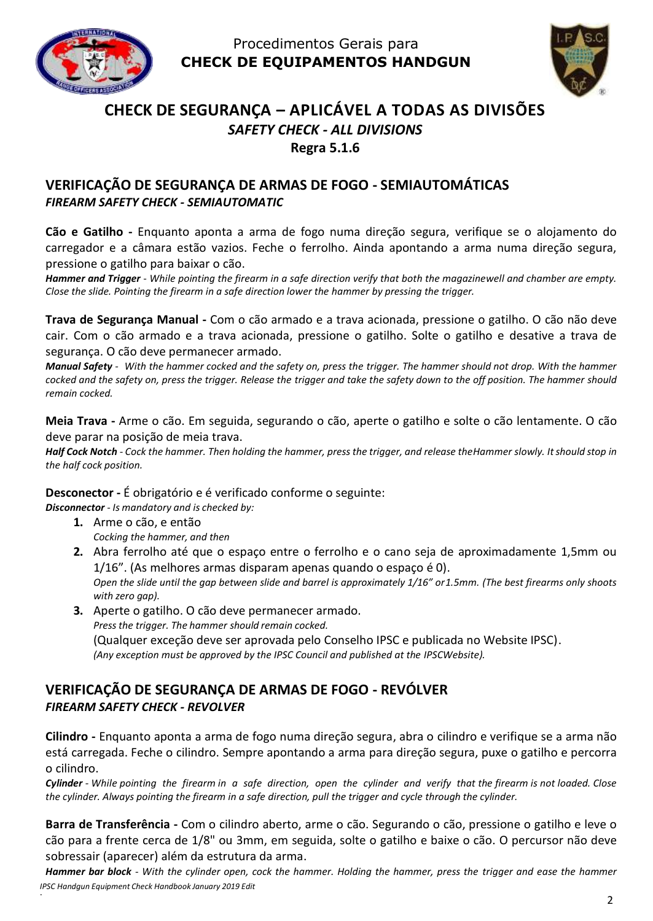



## **CHECK DE SEGURANÇA – APLICÁVEL A TODAS AS DIVISÕES** *SAFETY CHECK - ALL DIVISIONS* **Regra 5.1.6**

## **VERIFICAÇÃO DE SEGURANÇA DE ARMAS DE FOGO - SEMIAUTOMÁTICAS** *FIREARM SAFETY CHECK - SEMIAUTOMATIC*

**Cão e Gatilho -** Enquanto aponta a arma de fogo numa direção segura, verifique se o alojamento do carregador e a câmara estão vazios. Feche o ferrolho. Ainda apontando a arma numa direção segura, pressione o gatilho para baixar o cão.

*Hammer and Trigger - While pointing the firearm in a safe direction verify that both the magazinewell and chamber are empty. Close the slide. Pointing the firearm in a safe direction lower the hammer by pressing the trigger.*

**Trava de Segurança Manual -** Com o cão armado e a trava acionada, pressione o gatilho. O cão não deve cair. Com o cão armado e a trava acionada, pressione o gatilho. Solte o gatilho e desative a trava de segurança. O cão deve permanecer armado.

*Manual Safety - With the hammer cocked and the safety on, press the trigger. The hammer should not drop. With the hammer cocked and the safety on, press the trigger. Release the trigger and take the safety down to the off position. The hammer should remain cocked.*

**Meia Trava -** Arme o cão. Em seguida, segurando o cão, aperte o gatilho e solte o cão lentamente. O cão deve parar na posição de meia trava.

*Half Cock Notch - Cock the hammer. Then holding the hammer, press the trigger, and release theHammer slowly. Itshould stop in the half cock position.*

#### **Desconector -** É obrigatório e é verificado conforme o seguinte:

*Disconnector - Is mandatory and is checked by:*

- **1.** Arme o cão, e então *Cocking the hammer, and then*
- **2.** Abra ferrolho até que o espaço entre o ferrolho e o cano seja de aproximadamente 1,5mm ou 1/16". (As melhores armas disparam apenas quando o espaço é 0). *Open the slide until the gap between slide and barrel is approximately 1/16" or1.5mm. (The best firearms only shoots with zero gap).*
- **3.** Aperte o gatilho. O cão deve permanecer armado. *Pressthe trigger. The hammer should remain cocked.* (Qualquer exceção deve ser aprovada pelo Conselho IPSC e publicada no Website IPSC). *(Any exception must be approved by the IPSC Council and published at the IPSCWebsite).*

#### **VERIFICAÇÃO DE SEGURANÇA DE ARMAS DE FOGO - REVÓLVER** *FIREARM SAFETY CHECK - REVOLVER*

**Cilindro -** Enquanto aponta a arma de fogo numa direção segura, abra o cilindro e verifique se a arma não está carregada. Feche o cilindro. Sempre apontando a arma para direção segura, puxe o gatilho e percorra o cilindro.

Cylinder - While pointing the firearm in a safe direction, open the cylinder and verify that the firearm is not loaded. Close *the cylinder. Always pointing the firearm in a safe direction, pull the trigger and cycle through the cylinder.*

**Barra de Transferência -** Com o cilindro aberto, arme o cão. Segurando o cão, pressione o gatilho e leve o cão para a frente cerca de 1/8" ou 3mm, em seguida, solte o gatilho e baixe o cão. O percursor não deve sobressair (aparecer) além da estrutura da arma.

*IPSC Handgun Equipment Check Handbook January 2019 Edit Hammer bar block - With the cylinder open, cock the hammer. Holding the hammer, press the trigger and ease the hammer*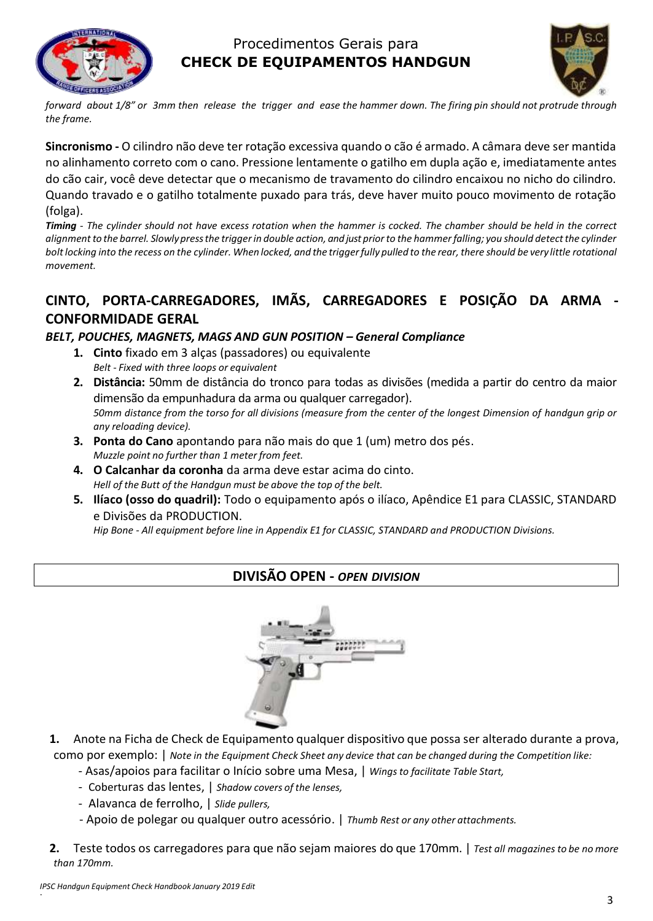



forward about 1/8" or 3mm then release the trigger and ease the hammer down. The firing pin should not protrude through *the frame.*

**Sincronismo -** O cilindro não deve ter rotação excessiva quando o cão é armado. A câmara deve ser mantida no alinhamento correto com o cano. Pressione lentamente o gatilho em dupla ação e, imediatamente antes do cão cair, você deve detectar que o mecanismo de travamento do cilindro encaixou no nicho do cilindro. Quando travado e o gatilho totalmente puxado para trás, deve haver muito pouco movimento de rotação (folga).

*Timing - The cylinder should not have excess rotation when the hammer is cocked. The chamber should be held in the correct alignment to the barrel. Slowlypressthe trigger in double action, and just prior to the hammer falling; you should detect the cylinder*  bolt locking into the recess on the cylinder. When locked, and the trigger fully pulled to the rear, there should be very little rotational *movement.*

## **CINTO, PORTA-CARREGADORES, IMÃS, CARREGADORES E POSIÇÃO DA ARMA - CONFORMIDADE GERAL**

#### *BELT, POUCHES, MAGNETS, MAGS AND GUN POSITION – General Compliance*

- **1. Cinto** fixado em 3 alças (passadores) ou equivalente *Belt - Fixed with three loops or equivalent*
- **2. Distância:** 50mm de distância do tronco para todas as divisões (medida a partir do centro da maior dimensão da empunhadura da arma ou qualquer carregador). *50mm distance from the torso for all divisions (measure from the center of the longest Dimension of handgun grip or any reloading device).*
- **3. Ponta do Cano** apontando para não mais do que 1 (um) metro dos pés. *Muzzle point no further than 1 meter from feet.*
- **4. O Calcanhar da coronha** da arma deve estar acima do cinto. *Hell of the Butt of the Handgun must be above the top of the belt.*
- **5. Ilíaco (osso do quadril):** Todo o equipamento após o ilíaco, Apêndice E1 para CLASSIC, STANDARD e Divisões da PRODUCTION.

*Hip Bone - All equipment before line in Appendix E1 for CLASSIC, STANDARD and PRODUCTION Divisions.*

## **DIVISÃO OPEN -** *OPEN DIVISION*



- **1.** Anote na Ficha de Check de Equipamento qualquer dispositivo que possa ser alterado durante a prova, como por exemplo: | *Note in the Equipment Check Sheet any device that can be changed during the Competition like:*
	- Asas/apoios para facilitar o Início sobre uma Mesa, | *Wings to facilitate Table Start,*
	- Coberturas das lentes, | *Shadow covers of the lenses,*
	- Alavanca de ferrolho, | *Slide pullers,*
	- Apoio de polegar ou qualquer outro acessório. | *Thumb Rest or any other attachments.*
- **2.** Teste todos os carregadores para que não sejam maiores do que 170mm. | *Test all magazines to be no more than 170mm.*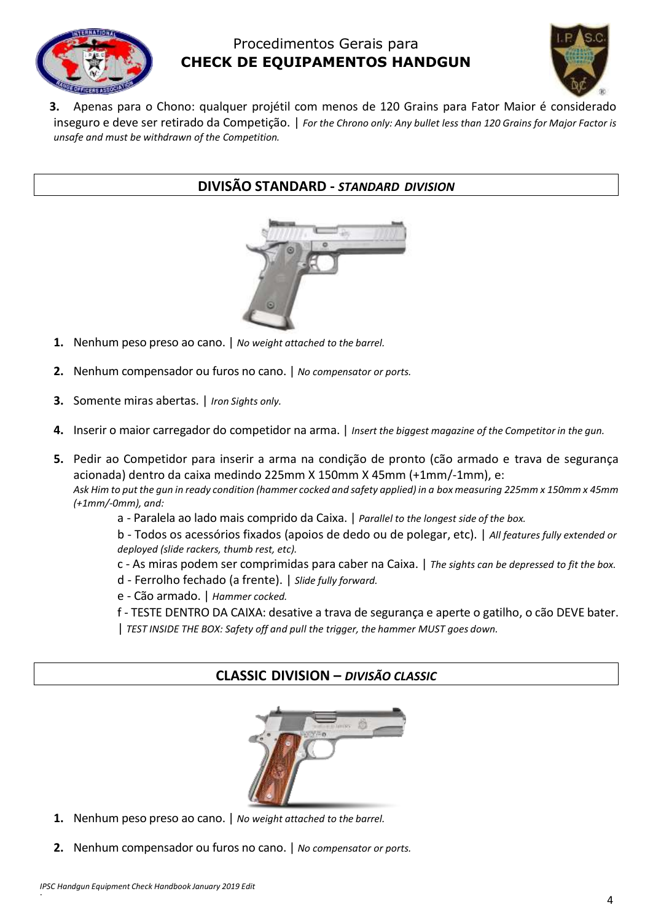



**3.** Apenas para o Chono: qualquer projétil com menos de 120 Grains para Fator Maior é considerado inseguro e deve ser retirado da Competição. | *For the Chrono only: Any bullet less than 120 Grains for Major Factor is unsafe and must be withdrawn of the Competition.*

#### **DIVISÃO STANDARD -** *STANDARD DIVISION*



- **1.** Nenhum peso preso ao cano. | *No weight attached to the barrel.*
- **2.** Nenhum compensador ou furos no cano. | *No compensator or ports.*
- **3.** Somente miras abertas. | *Iron Sights only.*
- **4.** Inserir o maior carregador do competidor na arma. | *Insert the biggest magazine of the Competitor in the gun.*
- **5.** Pedir ao Competidor para inserir a arma na condição de pronto (cão armado e trava de segurança acionada) dentro da caixa medindo 225mm X 150mm X 45mm (+1mm/-1mm), e: *Ask Him to put the gun in ready condition (hammer cocked and safety applied) in a box measuring 225mm x 150mm x 45mm (+1mm/-0mm), and:*
	- a Paralela ao lado mais comprido da Caixa. | *Parallel to the longest side of the box.*

b - Todos os acessórios fixados (apoios de dedo ou de polegar, etc). | *All features fully extended or deployed (slide rackers, thumb rest, etc).*

- c As miras podem ser comprimidas para caber na Caixa. | *The sights can be depressed to fit the box.*
- d Ferrolho fechado (a frente). | *Slide fully forward.*
- e Cão armado. | *Hammer cocked.*
- f TESTE DENTRO DA CAIXA: desative a trava de segurança e aperte o gatilho, o cão DEVE bater.
- | *TEST INSIDE THE BOX: Safety off and pull the trigger, the hammer MUST goes down.*

#### **CLASSIC DIVISION –** *DIVISÃO CLASSIC*



- **1.** Nenhum peso preso ao cano. | *No weight attached to the barrel.*
- **2.** Nenhum compensador ou furos no cano. | *No compensator or ports.*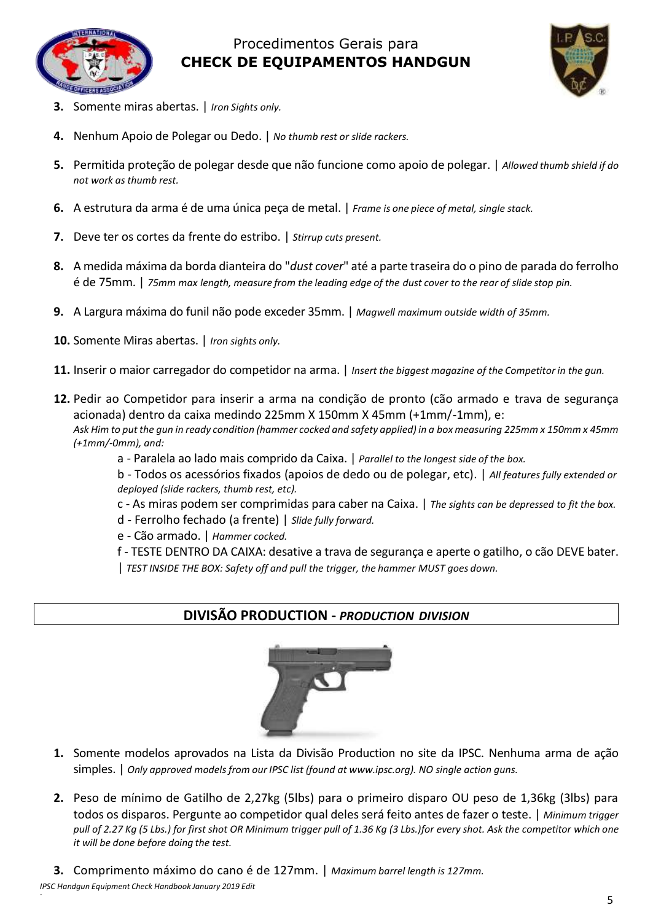



- **3.** Somente miras abertas. | *Iron Sights only.*
- **4.** Nenhum Apoio de Polegar ou Dedo. | *No thumb rest or slide rackers.*
- **5.** Permitida proteção de polegar desde que não funcione como apoio de polegar. | *Allowed thumb shield if do*  $not$  *work as thumb rest.*
- **6.** A estrutura da arma é de uma única peça de metal. | *Frame is one piece of metal, single stack.*
- **7.** Deve ter os cortes da frente do estribo. | *Stirrup cuts present.*
- **8.** A medida máxima da borda dianteira do "*dust cover*" até a parte traseira do o pino de parada do ferrolho é de 75mm. | *75mm max length, measure from the leading edge of the dust cover to the rear of slide stop pin.*
- **9.** A Largura máxima do funil não pode exceder 35mm. | *Magwell maximum outside width of 35mm.*
- **10.** Somente Miras abertas. | *Iron sights only.*
- **11.** Inserir o maior carregador do competidor na arma. | *Insert the biggest magazine of the Competitor in the gun.*
- **12.** Pedir ao Competidor para inserir a arma na condição de pronto (cão armado e trava de segurança acionada) dentro da caixa medindo 225mm X 150mm X 45mm (+1mm/-1mm), e: *Ask Him to put the gun in ready condition (hammer cocked and safety applied) in a box measuring 225mm x 150mm x 45mm (+1mm/-0mm), and:*
	- a Paralela ao lado mais comprido da Caixa. | *Parallel to the longest side of the box.*
	- b Todos os acessórios fixados (apoios de dedo ou de polegar, etc). | *All features fully extended or deployed (slide rackers, thumb rest, etc).*
	- c As miras podem ser comprimidas para caber na Caixa. | *The sights can be depressed to fit the box.*
	- d Ferrolho fechado (a frente) | *Slide fully forward.*
	- e Cão armado. | *Hammer cocked.*
	- f TESTE DENTRO DA CAIXA: desative a trava de segurança e aperte o gatilho, o cão DEVE bater.
	- | *TEST INSIDE THE BOX: Safety off and pull the trigger, the hammer MUST goes down.*

#### **DIVISÃO PRODUCTION -** *PRODUCTION DIVISION*



- **1.** Somente modelos aprovados na Lista da Divisão Production no site da IPSC. Nenhuma arma de ação simples. | *Only approved models from our IPSC list (found at www.ipsc.org). NO single action guns.*
- **2.** Peso de mínimo de Gatilho de 2,27kg (5lbs) para o primeiro disparo OU peso de 1,36kg (3lbs) para todos os disparos. Pergunte ao competidor qual deles será feito antes de fazer o teste. | *Minimum trigger pull of 2.27 Kg (5 Lbs.) for first shot OR Minimum trigger pull of 1.36 Kg (3 Lbs.)for every shot. Ask the competitor which one it will be done before doing the test.*
- **3.** Comprimento máximo do cano é de 127mm. | *Maximum barrel length is 127mm.*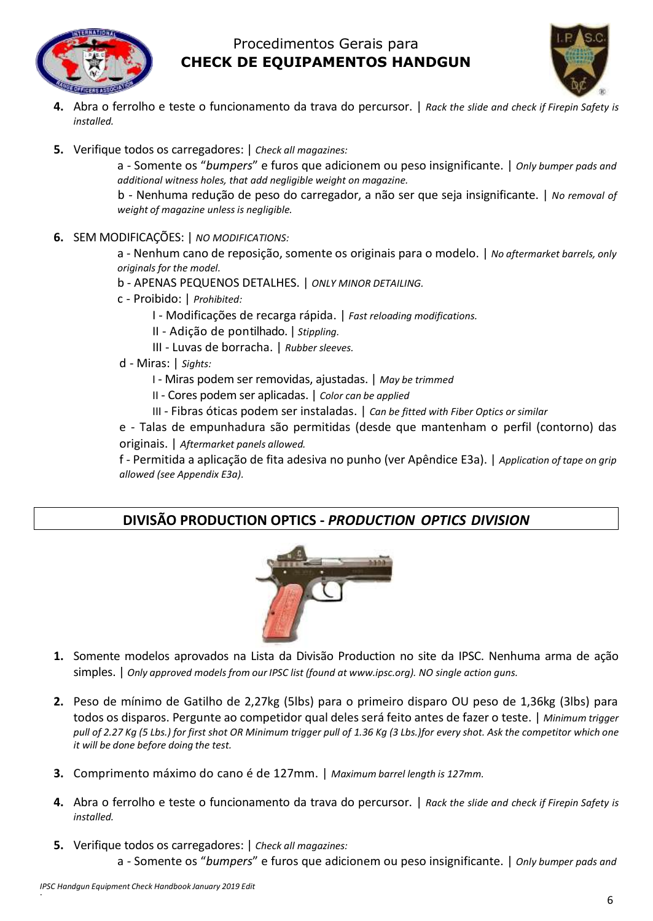



- **4.** Abra o ferrolho e teste o funcionamento da trava do percursor. | *Rack the slide and check if Firepin Safety is installed.*
- **5.** Verifique todos os carregadores: | *Check all magazines:*

a - Somente os "*bumpers*" e furos que adicionem ou peso insignificante. | *Only bumper pads and additional witness holes, that add negligible weight on magazine.*

b - Nenhuma redução de peso do carregador, a não ser que seja insignificante. | *No removal of weight of magazine unless is negligible.*

**6.** SEM MODIFICAÇÕES: | *NO MODIFICATIONS:*

a - Nenhum cano de reposição, somente os originais para o modelo. | *No aftermarket barrels, only originals for the model.*

b - APENAS PEQUENOS DETALHES. | *ONLY MINOR DETAILING.*

- c Proibido: | *Prohibited:*
	- I Modificações de recarga rápida. | *Fast reloading modifications.*
	- II Adição de pontilhado. | *Stippling.*
	- III Luvas de borracha. | *Rubber sleeves.*
- d Miras: | *Sights:*
	- I Miras podem ser removidas, ajustadas. | *May be trimmed*
	- II Cores podem ser aplicadas. | *Color can be applied*
	- III Fibras óticas podem ser instaladas. | *Can be fitted with Fiber Optics or similar*

e - Talas de empunhadura são permitidas (desde que mantenham o perfil (contorno) das originais. | *Aftermarket panels allowed.*

f - Permitida a aplicação de fita adesiva no punho (ver Apêndice E3a). | *Application of tape on grip allowed (see Appendix E3a).*

### **DIVISÃO PRODUCTION OPTICS -** *PRODUCTION OPTICS DIVISION*



- **1.** Somente modelos aprovados na Lista da Divisão Production no site da IPSC. Nenhuma arma de ação simples. | *Only approved models from our IPSC list (found at www.ipsc.org). NO single action guns.*
- **2.** Peso de mínimo de Gatilho de 2,27kg (5lbs) para o primeiro disparo OU peso de 1,36kg (3lbs) para todos os disparos. Pergunte ao competidor qual deles será feito antes de fazer o teste. | *Minimum trigger pull of 2.27 Kg (5 Lbs.) for first shot OR Minimum trigger pull of 1.36 Kg (3 Lbs.)for every shot. Ask the competitor which one it will be done before doing the test.*
- **3.** Comprimento máximo do cano é de 127mm. | *Maximum barrel length is 127mm.*
- **4.** Abra o ferrolho e teste o funcionamento da trava do percursor. | *Rack the slide and check if Firepin Safety is installed.*
- **5.** Verifique todos os carregadores: | *Check all magazines:* a - Somente os "*bumpers*" e furos que adicionem ou peso insignificante. | *Only bumper pads and*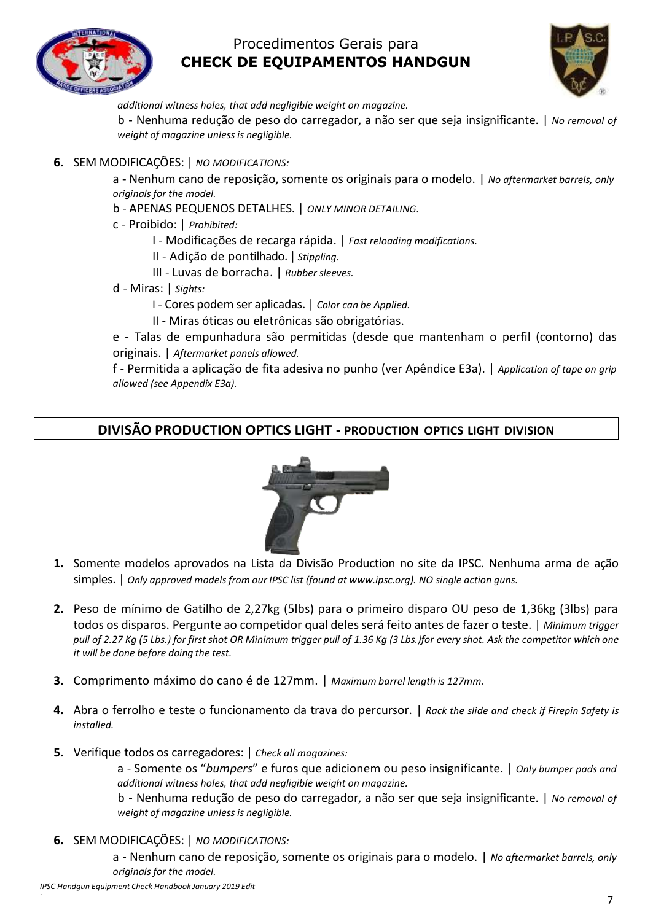



*additional witness holes, that add negligible weight on magazine.*

b - Nenhuma redução de peso do carregador, a não ser que seja insignificante. | *No removal of weight of magazine unless is negligible.*

**6.** SEM MODIFICAÇÕES: | *NO MODIFICATIONS:*

a - Nenhum cano de reposição, somente os originais para o modelo. | *No aftermarket barrels, only originals for the model.*

- b APENAS PEQUENOS DETALHES. | *ONLY MINOR DETAILING.*
- c Proibido: | *Prohibited:*
	- I Modificações de recarga rápida. | *Fast reloading modifications.*
	- II Adição de pontilhado. | *Stippling.*
	- III Luvas de borracha. | *Rubber sleeves.*
- d Miras: | *Sights:*
	- I Cores podem ser aplicadas. | *Color can be Applied.*
	- II Miras óticas ou eletrônicas são obrigatórias.

e - Talas de empunhadura são permitidas (desde que mantenham o perfil (contorno) das originais. | *Aftermarket panels allowed.*

f - Permitida a aplicação de fita adesiva no punho (ver Apêndice E3a). | *Application of tape on grip allowed (see Appendix E3a).*

#### **DIVISÃO PRODUCTION OPTICS LIGHT - PRODUCTION OPTICS LIGHT DIVISION**



- **1.** Somente modelos aprovados na Lista da Divisão Production no site da IPSC. Nenhuma arma de ação simples. | *Only approved models from our IPSC list (found at www.ipsc.org). NO single action guns.*
- **2.** Peso de mínimo de Gatilho de 2,27kg (5lbs) para o primeiro disparo OU peso de 1,36kg (3lbs) para todos os disparos. Pergunte ao competidor qual deles será feito antes de fazer o teste. | *Minimum trigger pull of 2.27 Kg (5 Lbs.) for first shot OR Minimum trigger pull of 1.36 Kg (3 Lbs.)for every shot. Ask the competitor which one it will be done before doing the test.*
- **3.** Comprimento máximo do cano é de 127mm. | *Maximum barrel length is 127mm.*
- **4.** Abra o ferrolho e teste o funcionamento da trava do percursor. | *Rack the slide and check if Firepin Safety is installed.*
- **5.** Verifique todos os carregadores: | *Check all magazines:*

a - Somente os "*bumpers*" e furos que adicionem ou peso insignificante. | *Only bumper pads and additional witness holes, that add negligible weight on magazine.*

b - Nenhuma redução de peso do carregador, a não ser que seja insignificante. | *No removal of weight of magazine unless is negligible.*

**6.** SEM MODIFICAÇÕES: | *NO MODIFICATIONS:*

a - Nenhum cano de reposição, somente os originais para o modelo. | *No aftermarket barrels, only originals for the model.*